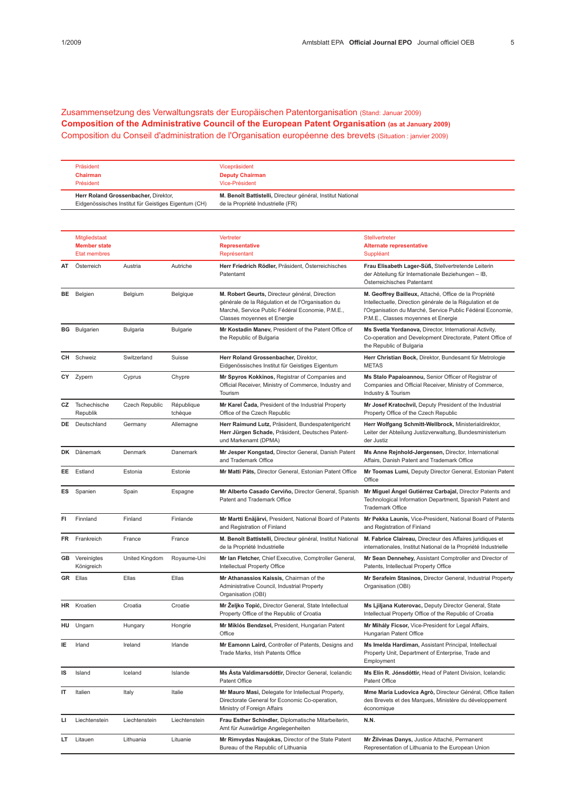Zusammensetzung des Verwaltungsrats der Europäischen Patentorganisation (Stand: Januar 2009) Composition of the Administrative Council of the European Patent Organisation (as at January 2009) Composition du Conseil d'administration de l'Organisation européenne des brevets (Situation : janvier 2009)

| Präsident<br><b>Chairman</b><br>Président                                                    | Vicepräsident<br><b>Deputy Chairman</b><br>Vice-Président                                        |
|----------------------------------------------------------------------------------------------|--------------------------------------------------------------------------------------------------|
| Herr Roland Grossenbacher, Direktor,<br>Eidgenössisches Institut für Geistiges Eigentum (CH) | M. Benoît Battistelli, Directeur général, Institut National<br>de la Propriété Industrielle (FR) |

|    | Mitgliedstaat<br><b>Member state</b><br><b>Etat membres</b> |                |                       | Vertreter<br><b>Representative</b><br>Représentant                                                                                                                                     | <b>Stellvertreter</b><br><b>Alternate representative</b><br>Suppléant                                                                                                                                                   |
|----|-------------------------------------------------------------|----------------|-----------------------|----------------------------------------------------------------------------------------------------------------------------------------------------------------------------------------|-------------------------------------------------------------------------------------------------------------------------------------------------------------------------------------------------------------------------|
| AT | Österreich                                                  | Austria        | Autriche              | Herr Friedrich Rödler, Präsident, Österreichisches<br>Patentamt                                                                                                                        | Frau Elisabeth Lager-Süß, Stellvertretende Leiterin<br>der Abteilung für Internationale Beziehungen - IB,<br>Österreichisches Patentamt                                                                                 |
|    | <b>BE</b> Belgien                                           | Belgium        | Belgique              | M. Robert Geurts, Directeur général, Direction<br>générale de la Régulation et de l'Organisation du<br>Marché, Service Public Fédéral Economie, P.M.E.,<br>Classes moyennes et Energie | M. Geoffrey Bailleux, Attaché, Office de la Propriété<br>Intellectuelle, Direction générale de la Régulation et de<br>l'Organisation du Marché, Service Public Fédéral Economie,<br>P.M.E., Classes moyennes et Energie |
|    | <b>BG</b> Bulgarien                                         | Bulgaria       | <b>Bulgarie</b>       | Mr Kostadin Manev, President of the Patent Office of<br>the Republic of Bulgaria                                                                                                       | Ms Svetla Yordanova, Director, International Activity,<br>Co-operation and Development Directorate, Patent Office of<br>the Republic of Bulgaria                                                                        |
| CH | Schweiz                                                     | Switzerland    | Suisse                | Herr Roland Grossenbacher, Direktor,<br>Eidgenössisches Institut für Geistiges Eigentum                                                                                                | Herr Christian Bock, Direktor, Bundesamt für Metrologie<br><b>METAS</b>                                                                                                                                                 |
|    | CY Zypern                                                   | Cyprus         | Chypre                | Mr Spyros Kokkinos, Registrar of Companies and<br>Official Receiver, Ministry of Commerce, Industry and<br>Tourism                                                                     | Ms Stalo Papaioannou, Senior Officer of Registrar of<br>Companies and Official Receiver, Ministry of Commerce,<br>Industry & Tourism                                                                                    |
| CZ | Tschechische<br>Republik                                    | Czech Republic | République<br>tchèque | Mr Karel Čada, President of the Industrial Property<br>Office of the Czech Republic                                                                                                    | Mr Josef Kratochvíl, Deputy President of the Industrial<br>Property Office of the Czech Republic                                                                                                                        |
|    | <b>DE</b> Deutschland                                       | Germany        | Allemagne             | Herr Raimund Lutz, Präsident, Bundespatentgericht<br>Herr Jürgen Schade, Präsident, Deutsches Patent-<br>und Markenamt (DPMA)                                                          | Herr Wolfgang Schmitt-Wellbrock, Ministerialdirektor,<br>Leiter der Abteilung Justizverwaltung, Bundesministerium<br>der Justiz                                                                                         |
|    | DK Dänemark                                                 | Denmark        | Danemark              | Mr Jesper Kongstad, Director General, Danish Patent<br>and Trademark Office                                                                                                            | Ms Anne Rejnhold-Jørgensen, Director, International<br>Affairs, Danish Patent and Trademark Office                                                                                                                      |
| EE | Estland                                                     | Estonia        | Estonie               | Mr Matti Päts, Director General, Estonian Patent Office                                                                                                                                | Mr Toomas Lumi, Deputy Director General, Estonian Patent<br>Office                                                                                                                                                      |
|    | ES Spanien                                                  | Spain          | Espagne               | Mr Alberto Casado Cerviño, Director General, Spanish<br>Patent and Trademark Office                                                                                                    | Mr Miguel Angel Gutiérrez Carbajal, Director Patents and<br>Technological Information Department, Spanish Patent and<br><b>Trademark Office</b>                                                                         |
| FI | Finnland                                                    | Finland        | Finlande              | Mr Martti Enäjärvi, President, National Board of Patents<br>and Registration of Finland                                                                                                | Mr Pekka Launis, Vice-President, National Board of Patents<br>and Registration of Finland                                                                                                                               |
| FR | Frankreich                                                  | France         | France                | M. Benoît Battistelli, Directeur général, Institut National<br>de la Propriété Industrielle                                                                                            | M. Fabrice Claireau, Directeur des Affaires juridiques et<br>internationales, Institut National de la Propriété Industrielle                                                                                            |
|    | <b>GB</b> Vereinigtes<br>Königreich                         | United Kingdom | Royaume-Uni           | Mr Ian Fletcher, Chief Executive, Comptroller General,<br>Intellectual Property Office                                                                                                 | Mr Sean Dennehey, Assistant Comptroller and Director of<br>Patents, Intellectual Property Office                                                                                                                        |
|    | <b>GR</b> Ellas                                             | Ellas          | Ellas                 | Mr Athanassios Kaissis, Chairman of the<br>Administrative Council, Industrial Property<br>Organisation (OBI)                                                                           | Mr Serafeim Stasinos, Director General, Industrial Property<br>Organisation (OBI)                                                                                                                                       |
|    | HR Kroatien                                                 | Croatia        | Croatie               | Mr Żeljko Topić, Director General, State Intellectual<br>Property Office of the Republic of Croatia                                                                                    | Ms Ljiljana Kuterovac, Deputy Director General, State<br>Intellectual Property Office of the Republic of Croatia                                                                                                        |
|    | HU Ungarn                                                   | Hungary        | Hongrie               | Mr Miklós Bendzsel, President, Hungarian Patent<br>Office                                                                                                                              | Mr Mihály Ficsor, Vice-President for Legal Affairs,<br>Hungarian Patent Office                                                                                                                                          |
|    | Irland                                                      | Ireland        | Irlande               | Mr Eamonn Laird, Controller of Patents, Designs and<br>Trade Marks, Irish Patents Office                                                                                               | Ms Imelda Hardiman, Assistant Principal, Intellectual<br>Property Unit, Department of Enterprise, Trade and<br>Employment                                                                                               |
| IS | Island                                                      | Iceland        | Islande               | Ms Asta Valdimarsdóttir, Director General, Icelandic<br>Patent Office                                                                                                                  | Ms Elín R. Jónsdóttir, Head of Patent Division, Icelandic<br>Patent Office                                                                                                                                              |
| IT | Italien                                                     | Italy          | Italie                | Mr Mauro Masi, Delegate for Intellectual Property,<br>Directorate General for Economic Co-operation,<br>Ministry of Foreign Affairs                                                    | Mme Maria Ludovica Agrò, Directeur Général, Office Italien<br>des Brevets et des Marques, Ministère du développement<br>économique                                                                                      |
| Ц  | Liechtenstein                                               | Liechtenstein  | Liechtenstein         | Frau Esther Schindler, Diplomatische Mitarbeiterin,<br>Amt für Auswärtige Angelegenheiten                                                                                              | N.N.                                                                                                                                                                                                                    |
| LT | Litauen                                                     | Lithuania      | Lituanie              | Mr Rimvydas Naujokas, Director of the State Patent<br>Bureau of the Republic of Lithuania                                                                                              | Mr Žilvinas Danys, Justice Attaché, Permanent<br>Representation of Lithuania to the European Union                                                                                                                      |